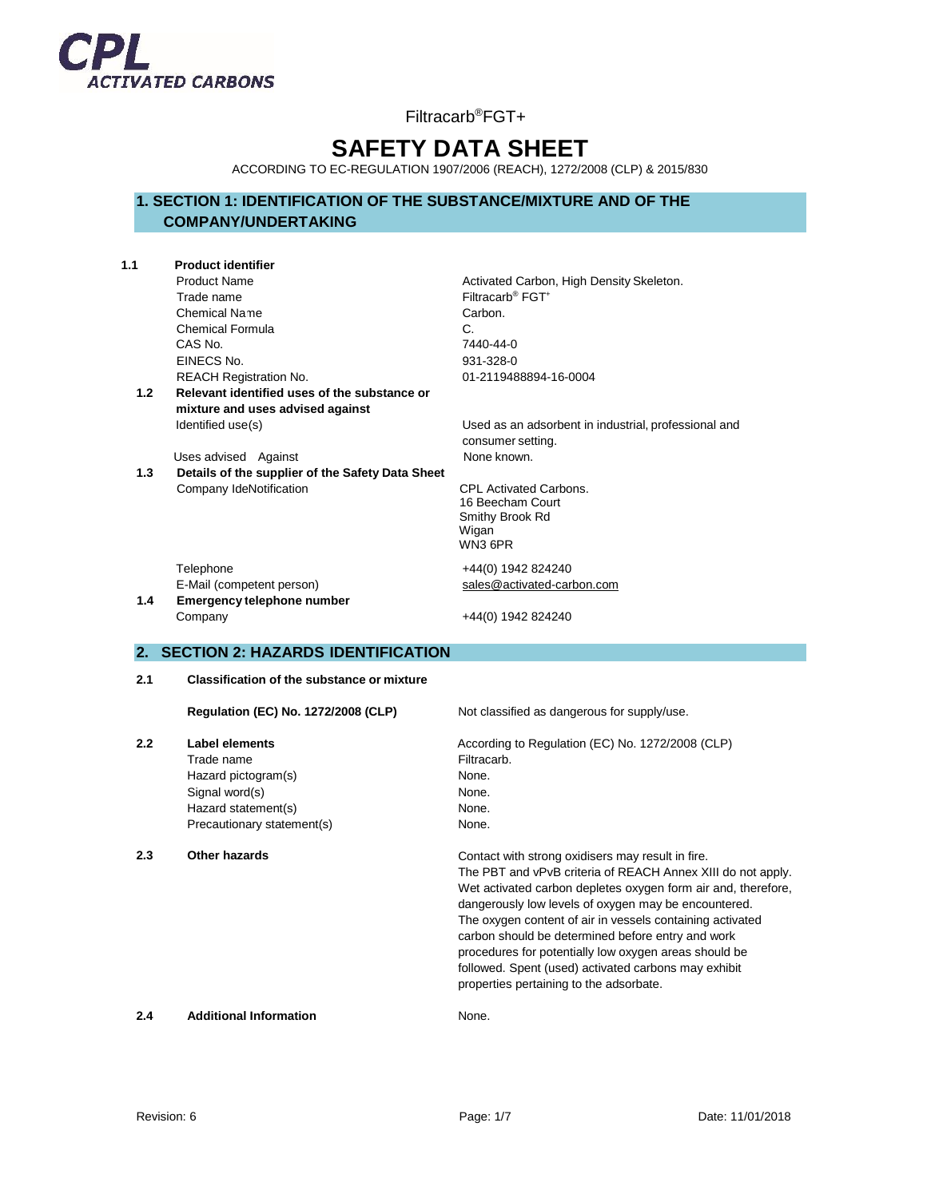

# **SAFETY DATA SHEET**

ACCORDING TO EC-REGULATION 1907/2006 (REACH), 1272/2008 (CLP) & 2015/830

# **1. SECTION 1: IDENTIFICATION OF THE SUBSTANCE/MIXTURE AND OF THE COMPANY/UNDERTAKING**

| 1.1 | <b>Product identifier</b>                         |                                                               |
|-----|---------------------------------------------------|---------------------------------------------------------------|
|     | <b>Product Name</b>                               | Activated Carbon, High Density Skeleton.                      |
|     | Trade name                                        | Filtracarb <sup>®</sup> FGT <sup>+</sup>                      |
|     | Chemical Name                                     | Carbon.                                                       |
|     | <b>Chemical Formula</b>                           | C.                                                            |
|     | CAS No.                                           | 7440-44-0                                                     |
|     | EINECS No.                                        | 931-328-0                                                     |
|     | <b>REACH Registration No.</b>                     | 01-2119488894-16-0004                                         |
| 1.2 | Relevant identified uses of the substance or      |                                                               |
|     | mixture and uses advised against                  |                                                               |
|     | Identified use(s)                                 | Used as an adsorbent in industrial, professional and          |
|     |                                                   | consumer setting.                                             |
|     |                                                   | None known.                                                   |
|     | Uses advised Against                              |                                                               |
| 1.3 | Details of the supplier of the Safety Data Sheet  |                                                               |
|     | Company IdeNotification                           | CPL Activated Carbons.<br>16 Beecham Court                    |
|     |                                                   | Smithy Brook Rd                                               |
|     |                                                   | Wigan                                                         |
|     |                                                   | WN3 6PR                                                       |
|     |                                                   |                                                               |
|     | Telephone                                         | +44(0) 1942 824240                                            |
|     | E-Mail (competent person)                         | sales@activated-carbon.com                                    |
| 1.4 | Emergency telephone number                        |                                                               |
|     | Company                                           | +44(0) 1942 824240                                            |
| 2.  | <b>SECTION 2: HAZARDS IDENTIFICATION</b>          |                                                               |
|     |                                                   |                                                               |
| 2.1 | <b>Classification of the substance or mixture</b> |                                                               |
|     |                                                   |                                                               |
|     | <b>Regulation (EC) No. 1272/2008 (CLP)</b>        | Not classified as dangerous for supply/use.                   |
| 2.2 | Label elements                                    |                                                               |
|     |                                                   | According to Regulation (EC) No. 1272/2008 (CLP)              |
|     | Trade name                                        | Filtracarb.                                                   |
|     | Hazard pictogram(s)                               | None.                                                         |
|     | Signal word(s)                                    | None.                                                         |
|     | Hazard statement(s)                               | None.                                                         |
|     | Precautionary statement(s)                        | None.                                                         |
| 2.3 | Other hazards                                     | Contact with strong oxidisers may result in fire.             |
|     |                                                   | The PBT and vPvB criteria of REACH Annex XIII do not apply.   |
|     |                                                   | Wet activated carbon depletes oxygen form air and, therefore, |
|     |                                                   | dangerously low levels of oxygen may be encountered.          |
|     |                                                   | The oxygen content of air in vessels containing activated     |
|     |                                                   |                                                               |
|     |                                                   | carbon should be determined before entry and work             |
|     |                                                   | procedures for potentially low oxygen areas should be         |
|     |                                                   | followed. Spent (used) activated carbons may exhibit          |
|     |                                                   | properties pertaining to the adsorbate.                       |

## **2.4 Additional Information** None.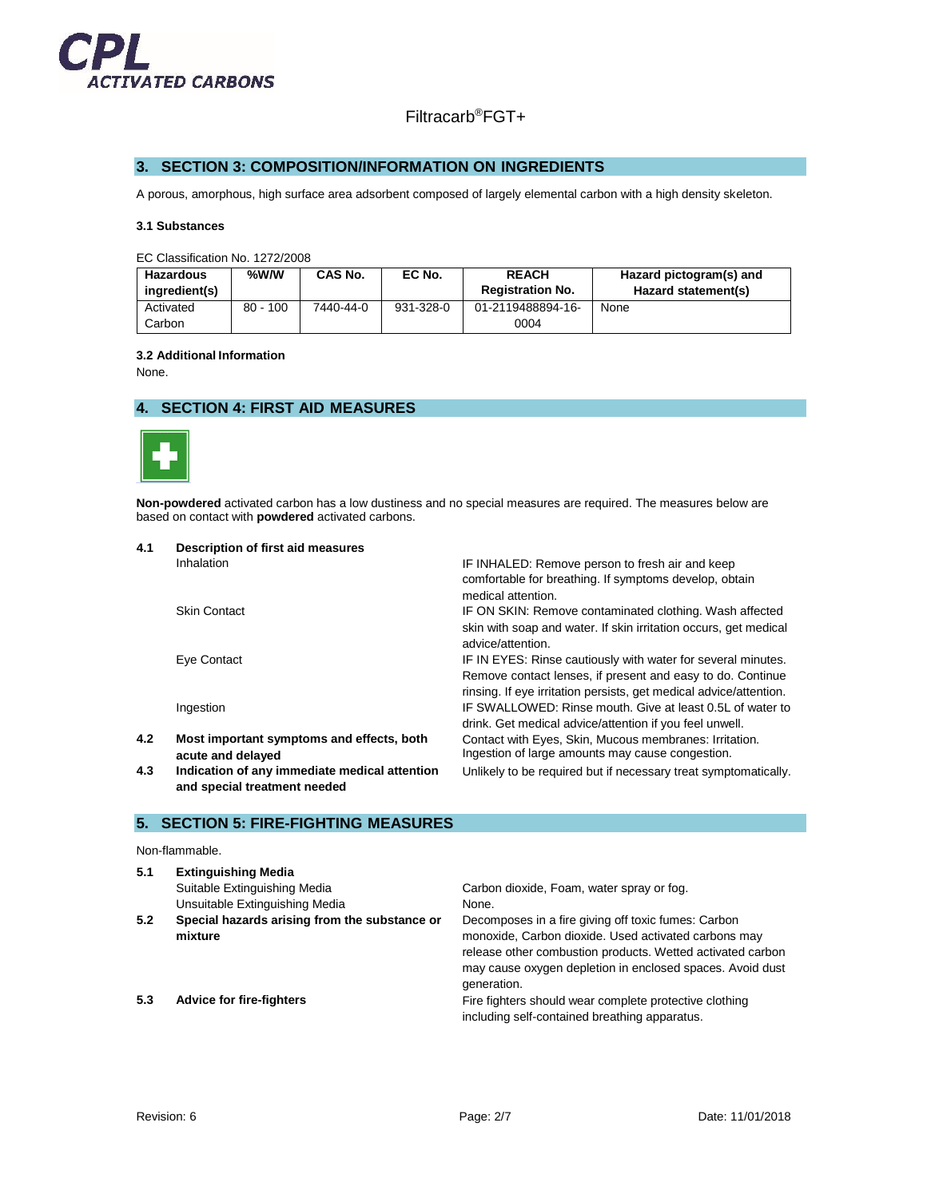

## **3. SECTION 3: COMPOSITION/INFORMATION ON INGREDIENTS**

A porous, amorphous, high surface area adsorbent composed of largely elemental carbon with a high density skeleton.

#### **3.1 Substances**

EC Classification No. 1272/2008

| <b>Hazardous</b><br>ingredient(s) | %W/W       | CAS No.   | EC No.    | <b>REACH</b><br><b>Registration No.</b> | Hazard pictogram(s) and<br>Hazard statement(s) |
|-----------------------------------|------------|-----------|-----------|-----------------------------------------|------------------------------------------------|
| Activated                         | $80 - 100$ | 7440-44-0 | 931-328-0 | 01-2119488894-16-                       | None                                           |
| Carbon                            |            |           |           | 0004                                    |                                                |

#### **3.2 Additional Information**

None.

# **4. SECTION 4: FIRST AID MEASURES**



**Non-powdered** activated carbon has a low dustiness and no special measures are required. The measures below are based on contact with **powdered** activated carbons.

| 4.1 | Description of first aid measures                                             |                                                                                                                                                                                                  |  |  |
|-----|-------------------------------------------------------------------------------|--------------------------------------------------------------------------------------------------------------------------------------------------------------------------------------------------|--|--|
|     | Inhalation                                                                    | IF INHALED: Remove person to fresh air and keep<br>comfortable for breathing. If symptoms develop, obtain<br>medical attention.                                                                  |  |  |
|     | <b>Skin Contact</b>                                                           | IF ON SKIN: Remove contaminated clothing. Wash affected<br>skin with soap and water. If skin irritation occurs, get medical<br>advice/attention.                                                 |  |  |
|     | Eye Contact                                                                   | IF IN EYES: Rinse cautiously with water for several minutes.<br>Remove contact lenses, if present and easy to do. Continue<br>rinsing. If eye irritation persists, get medical advice/attention. |  |  |
|     | Ingestion                                                                     | IF SWALLOWED: Rinse mouth. Give at least 0.5L of water to<br>drink. Get medical advice/attention if you feel unwell.                                                                             |  |  |
| 4.2 | Most important symptoms and effects, both<br>acute and delayed                | Contact with Eyes, Skin, Mucous membranes: Irritation.<br>Ingestion of large amounts may cause congestion.                                                                                       |  |  |
| 4.3 | Indication of any immediate medical attention<br>and special treatment needed | Unlikely to be required but if necessary treat symptomatically.                                                                                                                                  |  |  |

#### **5. SECTION 5: FIRE-FIGHTING MEASURES**

#### Non-flammable.

| 5.1 | <b>Extinguishing Media</b>                               |                                                                                                                                                                                                                                                       |
|-----|----------------------------------------------------------|-------------------------------------------------------------------------------------------------------------------------------------------------------------------------------------------------------------------------------------------------------|
|     | Suitable Extinguishing Media                             | Carbon dioxide, Foam, water spray or fog.                                                                                                                                                                                                             |
|     | Unsuitable Extinguishing Media                           | None.                                                                                                                                                                                                                                                 |
| 5.2 | Special hazards arising from the substance or<br>mixture | Decomposes in a fire giving off toxic fumes: Carbon<br>monoxide, Carbon dioxide. Used activated carbons may<br>release other combustion products. Wetted activated carbon<br>may cause oxygen depletion in enclosed spaces. Avoid dust<br>generation. |
| 5.3 | <b>Advice for fire-fighters</b>                          | Fire fighters should wear complete protective clothing<br>including self-contained breathing apparatus.                                                                                                                                               |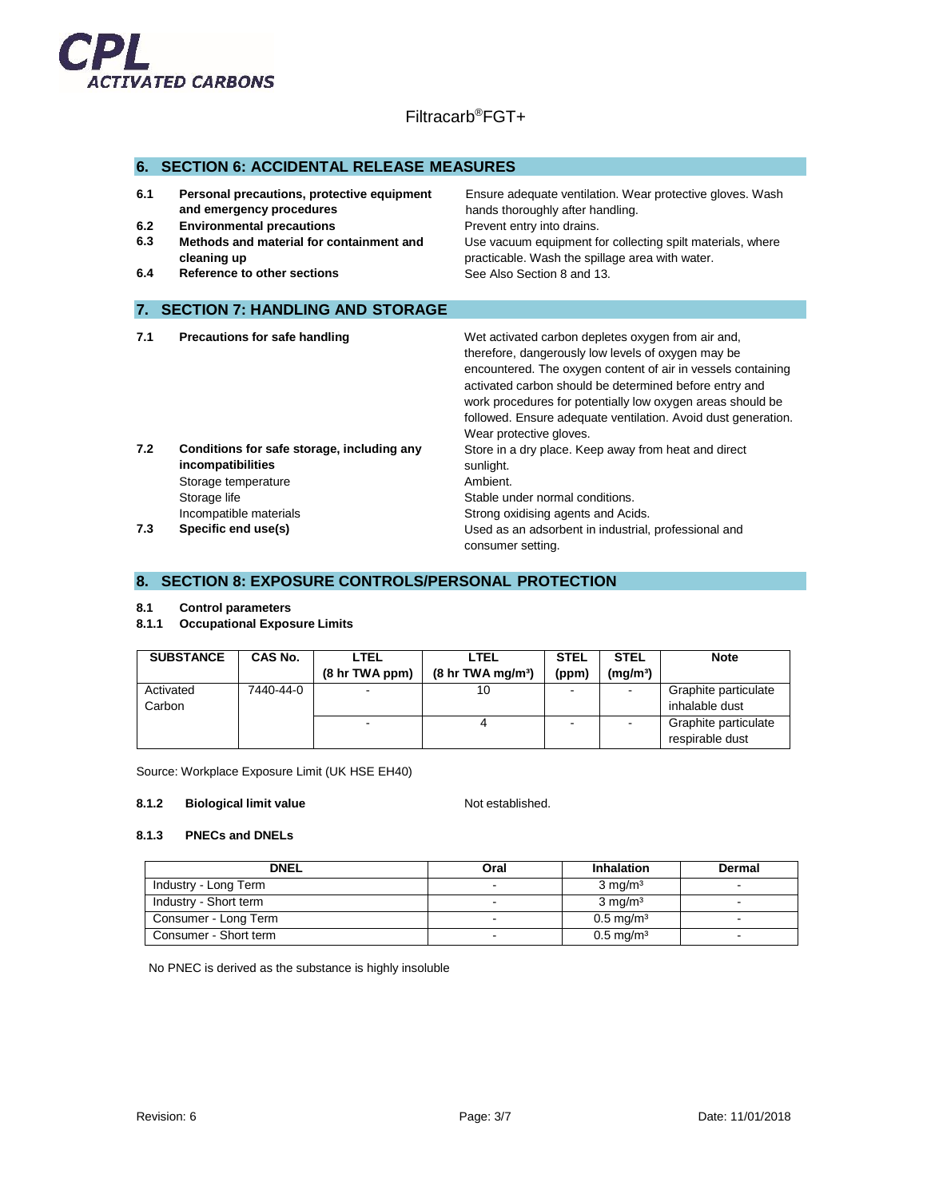

## **6. SECTION 6: ACCIDENTAL RELEASE MEASURES**

| 6.1<br>6.2<br>6.3<br>6.4 | Personal precautions, protective equipment<br>and emergency procedures<br><b>Environmental precautions</b><br>Methods and material for containment and<br>cleaning up<br>Reference to other sections | Ensure adequate ventilation. Wear protective gloves. Wash<br>hands thoroughly after handling.<br>Prevent entry into drains.<br>Use vacuum equipment for collecting spilt materials, where<br>practicable. Wash the spillage area with water.<br>See Also Section 8 and 13.                                                                                                                   |
|--------------------------|------------------------------------------------------------------------------------------------------------------------------------------------------------------------------------------------------|----------------------------------------------------------------------------------------------------------------------------------------------------------------------------------------------------------------------------------------------------------------------------------------------------------------------------------------------------------------------------------------------|
|                          | 7. SECTION 7: HANDLING AND STORAGE                                                                                                                                                                   |                                                                                                                                                                                                                                                                                                                                                                                              |
| 7.1                      | <b>Precautions for safe handling</b>                                                                                                                                                                 | Wet activated carbon depletes oxygen from air and,<br>therefore, dangerously low levels of oxygen may be<br>encountered. The oxygen content of air in vessels containing<br>activated carbon should be determined before entry and<br>work procedures for potentially low oxygen areas should be<br>followed. Ensure adequate ventilation. Avoid dust generation.<br>Wear protective gloves. |
| 7.2<br>7.3               | Conditions for safe storage, including any<br>incompatibilities<br>Storage temperature<br>Storage life<br>Incompatible materials<br>Specific end use(s)                                              | Store in a dry place. Keep away from heat and direct<br>sunlight.<br>Ambient.<br>Stable under normal conditions.<br>Strong oxidising agents and Acids.<br>Used as an adsorbent in industrial, professional and<br>consumer setting.                                                                                                                                                          |

#### **8. SECTION 8: EXPOSURE CONTROLS/PERSONAL PROTECTION**

#### **8.1 Control parameters**

## **8.1.1 Occupational Exposure Limits**

| <b>SUBSTANCE</b>    | CAS No.   | LTEL           | LTEL                                        | <b>STEL</b> | <b>STEL</b>              | <b>Note</b>                             |
|---------------------|-----------|----------------|---------------------------------------------|-------------|--------------------------|-----------------------------------------|
|                     |           | (8 hr TWA ppm) | $(8 \text{ hr} \text{ TWA} \text{ mg/m}^3)$ | (ppm)       | (mq/m <sup>3</sup> )     |                                         |
| Activated<br>Carbon | 7440-44-0 | -              | 10                                          |             | $\overline{\phantom{0}}$ | Graphite particulate<br>inhalable dust  |
|                     |           | -              |                                             |             | $\overline{\phantom{0}}$ | Graphite particulate<br>respirable dust |

Source: Workplace Exposure Limit (UK HSE EH40)

#### **8.1.2 Biological limit value Research 20 <b>Not established.**

#### **8.1.3 PNECs and DNELs**

| <b>DNEL</b>           | Oral | <b>Inhalation</b>       | Dermal |
|-----------------------|------|-------------------------|--------|
| Industry - Long Term  |      | $3 \text{ mg/m}^3$      | $\sim$ |
| Industry - Short term |      | $3 \text{ mg/m}^3$      |        |
| Consumer - Long Term  |      | $0.5 \,\mathrm{mq/m^3}$ |        |
| Consumer - Short term |      | $0.5 \,\mathrm{mq/m^3}$ |        |

No PNEC is derived as the substance is highly insoluble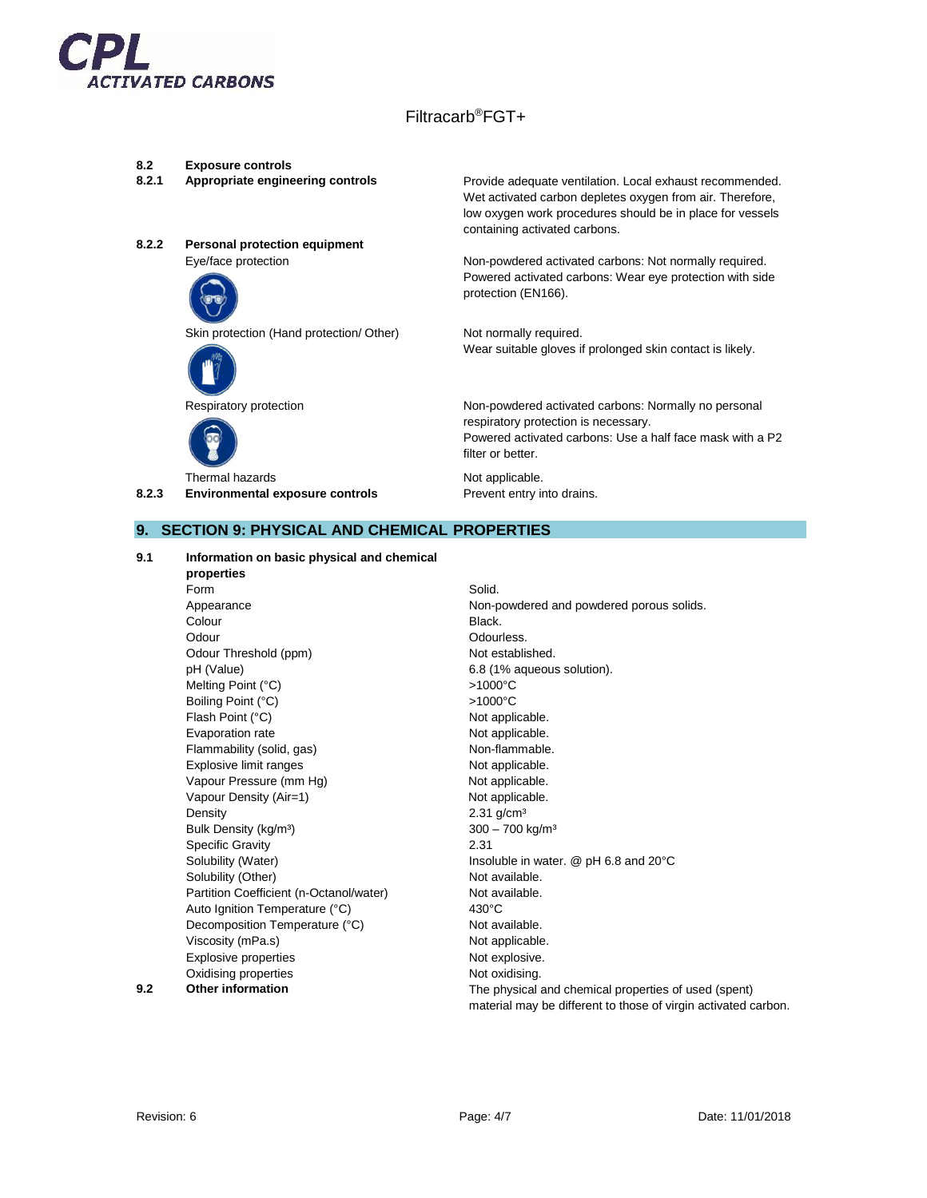

- 
- **8.2 Exposure controls**
- **8.2.2 Personal protection equipment**



Skin protection (Hand protection/ Other) Not normally required.





Thermal hazards Not applicable.

**8.2.1 Appropriate engineering controls** Provide adequate ventilation. Local exhaust recommended. Wet activated carbon depletes oxygen from air. Therefore, low oxygen work procedures should be in place for vessels containing activated carbons.

Eye/face protection Non-powdered activated carbons: Not normally required. Powered activated carbons: Wear eye protection with side protection (EN166).

Wear suitable gloves if prolonged skin contact is likely.

Respiratory protection **Non-powdered activated carbons: Normally no personal** respiratory protection is necessary. Powered activated carbons: Use a half face mask with a P2 filter or better.

**8.2.3 Environmental exposure controls Prevent entry into drains.** 

## **9. SECTION 9: PHYSICAL AND CHEMICAL PROPERTIES**

#### **9.1 Information on basic physical and chemical**

**properties** Form Solid. Colour Black. Odour College Contract College College College College College College College College College College College College College College College College College College College College College College College College College Odour Threshold (ppm) Not established. pH (Value) 6.8 (1% aqueous solution). Melting Point (°C) >1000°C Boiling Point (°C) >1000°C Flash Point (°C) Not applicable. Evaporation rate **Not applicable**. Flammability (solid, gas) Non-flammable. Explosive limit ranges Not applicable. Vapour Pressure (mm Hg) Not applicable. Vapour Density (Air=1) Not applicable. Density 2.31 g/cm<sup>3</sup> Bulk Density (kg/m<sup>3</sup>)  $300 - 700$  kg/m<sup>3</sup> Specific Gravity 2.31 Solubility (Other) Partition Coefficient (n-Octanol/water) Not available.<br>Auto Ignition Temperature (°C) 430°C Auto Ignition Temperature (°C) Decomposition Temperature (°C) Not available. Viscosity (mPa.s) Not applicable. Explosive properties Not explosive. Oxidising properties **Notify and Society Containers** Not oxidising.<br> **Other information** 

Appearance **Non-powdered and powdered porous solids**. Solubility (Water) **Insoluble in water.** @ pH 6.8 and 20°C<br>
Solubility (Other) **Installate** Not available. **9.2 Other information 19.2 Other information The physical and chemical properties of used (spent)** material may be different to those of virgin activated carbon.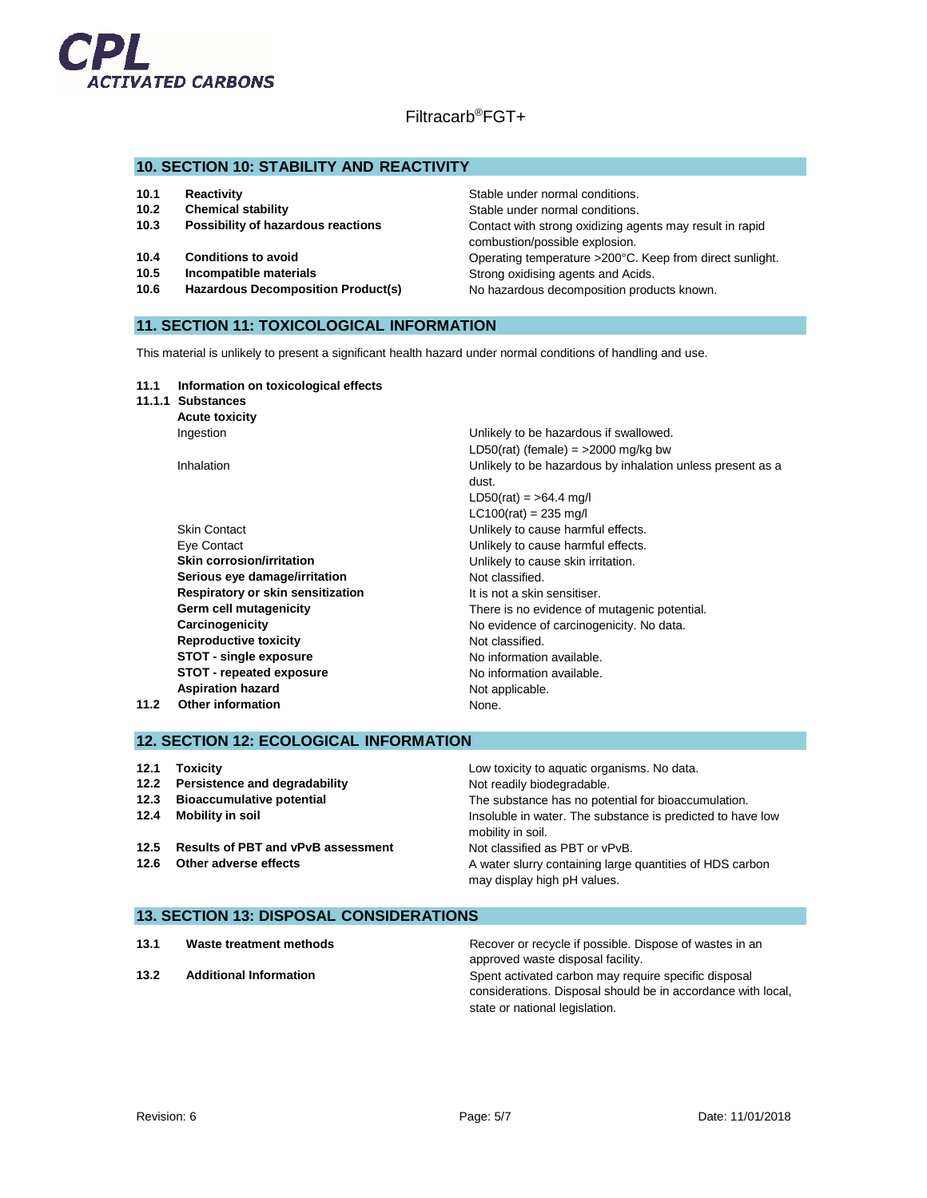

## **10. SECTION 10: STABILITY AND REACTIVITY**

| 10.1              | Reactivity                                | Stable under normal conditions.                                                            |
|-------------------|-------------------------------------------|--------------------------------------------------------------------------------------------|
| 10.2 <sub>1</sub> | <b>Chemical stability</b>                 | Stable under normal conditions.                                                            |
| 10.3              | Possibility of hazardous reactions        | Contact with strong oxidizing agents may result in rapid<br>combustion/possible explosion. |
| 10.4              | <b>Conditions to avoid</b>                | Operating temperature >200°C. Keep from direct sunlight.                                   |
| 10.5              | Incompatible materials                    | Strong oxidising agents and Acids.                                                         |
| 10.6              | <b>Hazardous Decomposition Product(s)</b> | No hazardous decomposition products known.                                                 |

# **11. SECTION 11: TOXICOLOGICAL INFORMATION**

This material is unlikely to present a significant health hazard under normal conditions of handling and use.

#### **11.1 Information on toxicological effects**

**11.1.1 Substances**

**Acute toxicity** Ingestion Unlikely to be hazardous if swallowed.

|      | <b>Skin Contact</b>               | Unlike   |
|------|-----------------------------------|----------|
|      | Eye Contact                       | Unlike   |
|      | <b>Skin corrosion/irritation</b>  | Unlike   |
|      | Serious eye damage/irritation     | Not cl   |
|      | Respiratory or skin sensitization | It is no |
|      | Germ cell mutagenicity            | There    |
|      | Carcinogenicity                   | No ev    |
|      | <b>Reproductive toxicity</b>      | Not cl   |
|      | <b>STOT - single exposure</b>     | No inf   |
|      | STOT - repeated exposure          | No inf   |
|      | <b>Aspiration hazard</b>          | Not ap   |
| 11.2 | <b>Other information</b>          | None.    |
|      |                                   |          |

LD50(rat) (female)  $=$  >2000 mg/kg bw Inhalation **Inhalation** Unlikely to be hazardous by inhalation unless present as a dust.  $LD50(rat) = 564.4$  mg/l  $LC100(rat) = 235$  mg/l Unlikely to cause harmful effects. Unlikely to cause harmful effects. Unlikely to cause skin irritation. Not classified. It is not a skin sensitiser. There is no evidence of mutagenic potential. **Carcinogenicity** No evidence of carcinogenicity. No data. **Not classified. STOT - single exposure** No information available. **STOT - repeated exposure** No information available. **Not applicable.** 

## **12. SECTION 12: ECOLOGICAL INFORMATION**

| 12.1 | <b>Toxicity</b>                         | Low toxicity to aquatic organisms. No data.                                             |
|------|-----------------------------------------|-----------------------------------------------------------------------------------------|
|      | 12.2 Persistence and degradability      | Not readily biodegradable.                                                              |
| 12.3 | <b>Bioaccumulative potential</b>        | The substance has no potential for bioaccumulation.                                     |
|      | 12.4 Mobility in soil                   | Insoluble in water. The substance is predicted to have low<br>mobility in soil.         |
|      | 12.5 Results of PBT and vPvB assessment | Not classified as PBT or vPvB.                                                          |
|      | 12.6 Other adverse effects              | A water slurry containing large quantities of HDS carbon<br>may display high pH values. |

#### **13. SECTION 13: DISPOSAL CONSIDERATIONS**

| 13.1 | Waste treatment methods       | Recover or recycle if possible. Dispose of wastes in an      |
|------|-------------------------------|--------------------------------------------------------------|
|      |                               | approved waste disposal facility.                            |
| 13.2 | <b>Additional Information</b> | Spent activated carbon may require specific disposal         |
|      |                               | considerations. Disposal should be in accordance with local, |
|      |                               | state or national legislation.                               |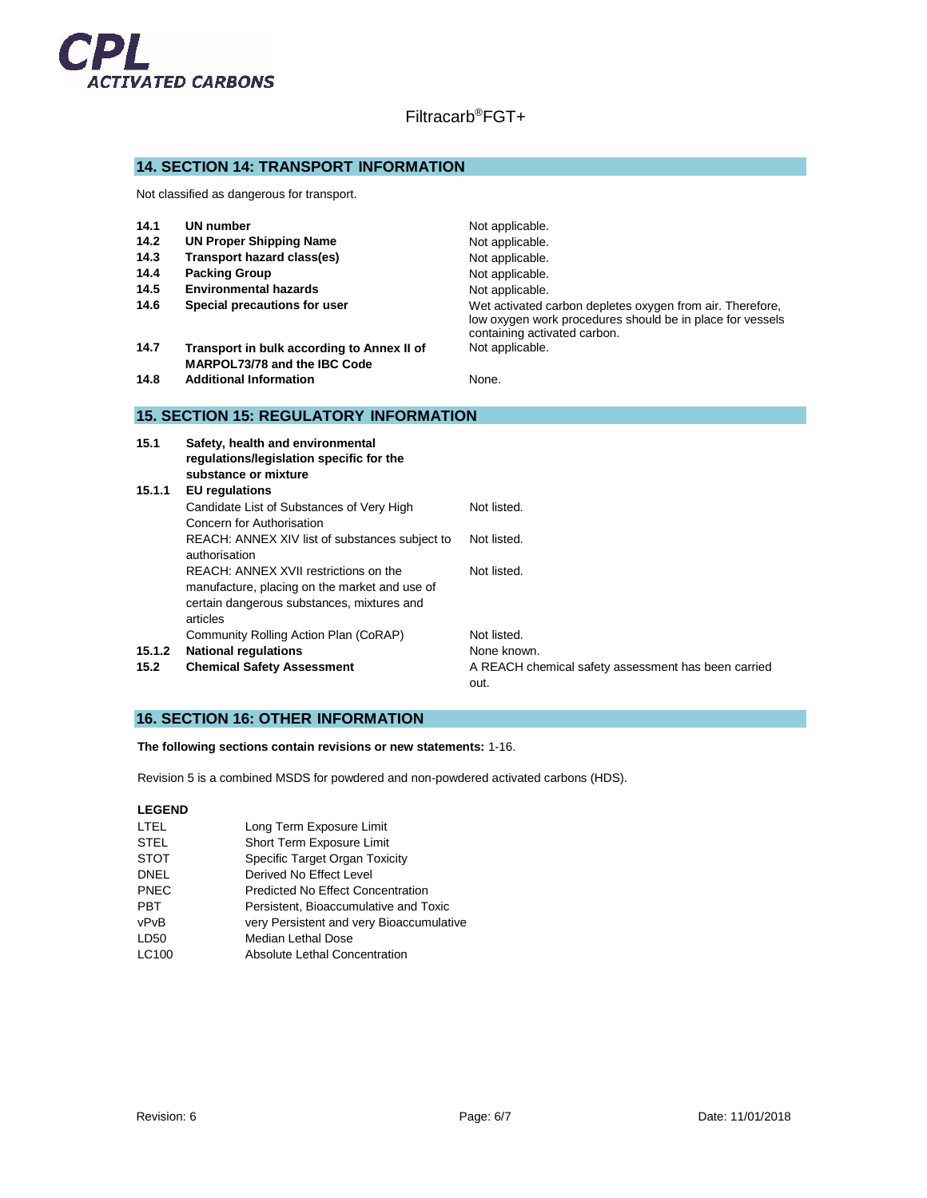

## **14. SECTION 14: TRANSPORT INFORMATION**

Not classified as dangerous for transport.

| 14.1 | UN number                                                                  | Not applicable.                                                                                                                                        |
|------|----------------------------------------------------------------------------|--------------------------------------------------------------------------------------------------------------------------------------------------------|
| 14.2 | <b>UN Proper Shipping Name</b>                                             | Not applicable.                                                                                                                                        |
| 14.3 | Transport hazard class(es)                                                 | Not applicable.                                                                                                                                        |
| 14.4 | <b>Packing Group</b>                                                       | Not applicable.                                                                                                                                        |
| 14.5 | <b>Environmental hazards</b>                                               | Not applicable.                                                                                                                                        |
| 14.6 | Special precautions for user                                               | Wet activated carbon depletes oxygen from air. Therefore,<br>low oxygen work procedures should be in place for vessels<br>containing activated carbon. |
| 14.7 | Transport in bulk according to Annex II of<br>MARPOL73/78 and the IBC Code | Not applicable.                                                                                                                                        |

**14.8 Additional Information None.** 

## **15. SECTION 15: REGULATORY INFORMATION**

| 15.1   | Safety, health and environmental<br>regulations/legislation specific for the<br>substance or mixture                                             |                                                             |
|--------|--------------------------------------------------------------------------------------------------------------------------------------------------|-------------------------------------------------------------|
| 15.1.1 | <b>EU</b> regulations                                                                                                                            |                                                             |
|        | Candidate List of Substances of Very High<br>Concern for Authorisation                                                                           | Not listed.                                                 |
|        | REACH: ANNEX XIV list of substances subject to<br>authorisation                                                                                  | Not listed.                                                 |
|        | REACH: ANNEX XVII restrictions on the<br>manufacture, placing on the market and use of<br>certain dangerous substances, mixtures and<br>articles | Not listed.                                                 |
|        | Community Rolling Action Plan (CoRAP)                                                                                                            | Not listed.                                                 |
| 15.1.2 | <b>National regulations</b>                                                                                                                      | None known.                                                 |
| 15.2   | <b>Chemical Safety Assessment</b>                                                                                                                | A REACH chemical safety assessment has been carried<br>out. |

## **16. SECTION 16: OTHER INFORMATION**

**The following sections contain revisions or new statements:** 1-16.

Revision 5 is a combined MSDS for powdered and non-powdered activated carbons (HDS).

## **LEGEND**

| LTEL        | Long Term Exposure Limit                 |
|-------------|------------------------------------------|
| STEL        | Short Term Exposure Limit                |
| <b>STOT</b> | Specific Target Organ Toxicity           |
| DNEL        | Derived No Effect Level                  |
| <b>PNEC</b> | <b>Predicted No Effect Concentration</b> |
| <b>PBT</b>  | Persistent, Bioaccumulative and Toxic    |
| vPvB        | very Persistent and very Bioaccumulative |
| LD50        | <b>Median Lethal Dose</b>                |
| LC100       | Absolute Lethal Concentration            |